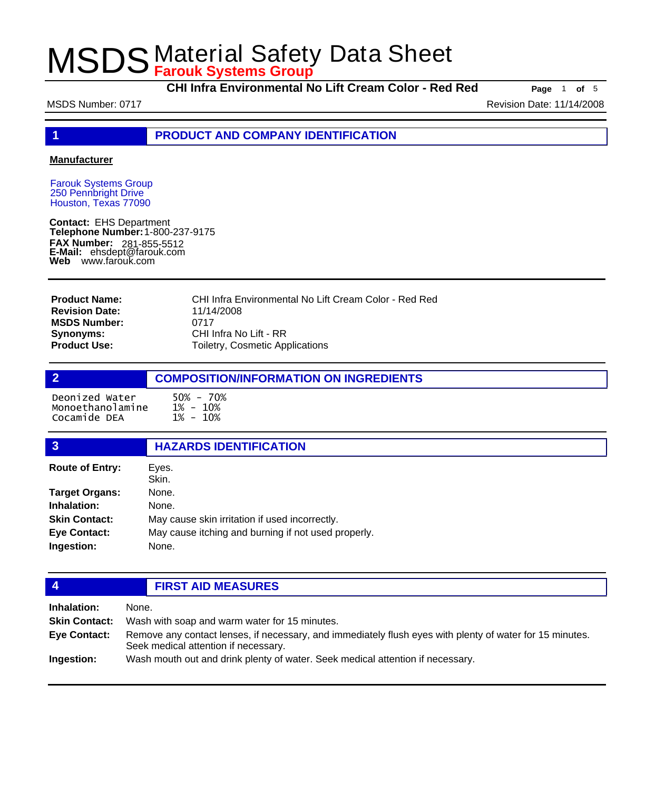**CHI Infra Environmental No Lift Cream Color - Red Red Page** <sup>1</sup> **of** <sup>5</sup>

MSDS Number: 0717 **MSDS Number: 0717** Revision Date: 11/14/2008

**1 PRODUCT AND COMPANY IDENTIFICATION**

### **Manufacturer**

Farouk Systems Group 250 Pennbright Drive Houston, Texas 77090

**Contact:** EHS Department **Telephone Number:** 1-800-237-9175 **FAX Number: FAX Number:** 281-855-5512<br>**E-Mail:** ehsdept@farouk.com **Web** www.farouk.com

CHI Infra Environmental No Lift Cream Color - Red Red 11/14/2008 0717 CHI Infra No Lift - RR Toiletry, Cosmetic Applications **Product Name: Revision Date: MSDS Number: Synonyms: Product Use:**

## **2 COMPOSITION/INFORMATION ON INGREDIENTS** Deonized Water 50% - 70% Monoethanolamine Cocamide DEA

| 3                      | <b>HAZARDS IDENTIFICATION</b>                       |
|------------------------|-----------------------------------------------------|
| <b>Route of Entry:</b> | Eyes.<br>Skin.                                      |
| <b>Target Organs:</b>  | None.                                               |
| Inhalation:            | None.                                               |
| <b>Skin Contact:</b>   | May cause skin irritation if used incorrectly.      |
| <b>Eye Contact:</b>    | May cause itching and burning if not used properly. |
| Ingestion:             | None.                                               |
|                        |                                                     |

## **4 FIRST AID MEASURES**

| Inhalation:          | None.                                                                                                                                            |
|----------------------|--------------------------------------------------------------------------------------------------------------------------------------------------|
| <b>Skin Contact:</b> | Wash with soap and warm water for 15 minutes.                                                                                                    |
| Eye Contact:         | Remove any contact lenses, if necessary, and immediately flush eyes with plenty of water for 15 minutes.<br>Seek medical attention if necessary. |
| Ingestion:           | Wash mouth out and drink plenty of water. Seek medical attention if necessary.                                                                   |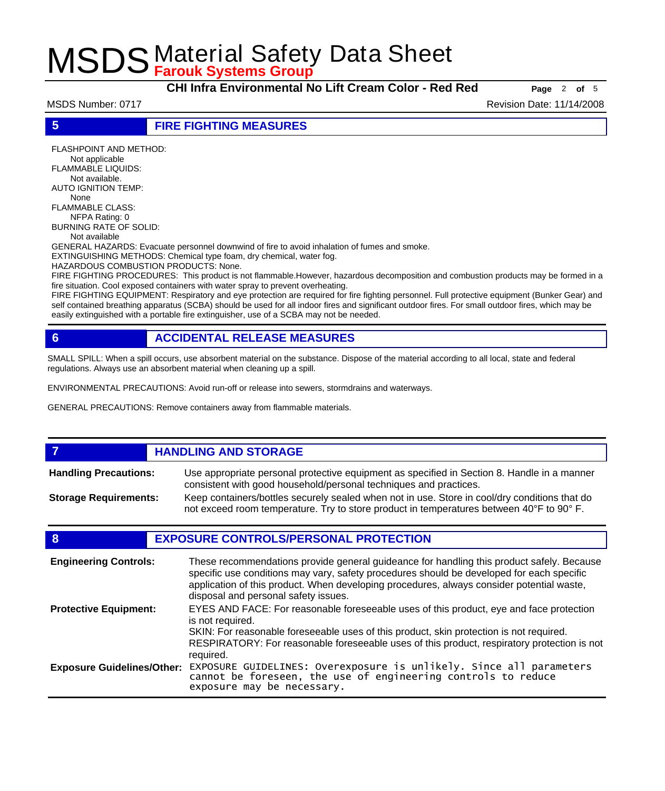**CHI Infra Environmental No Lift Cream Color - Red Red Page** <sup>2</sup> **of** <sup>5</sup>

MSDS Number: 0717 **Revision Date: 11/14/2008** 

**5 FIRE FIGHTING MEASURES**

FLASHPOINT AND METHOD: Not applicable FLAMMABLE LIQUIDS: Not available. AUTO IGNITION TEMP: None FLAMMABLE CLASS: NFPA Rating: 0 BURNING RATE OF SOLID: Not available GENERAL HAZARDS: Evacuate personnel downwind of fire to avoid inhalation of fumes and smoke. EXTINGUISHING METHODS: Chemical type foam, dry chemical, water fog. HAZARDOUS COMBUSTION PRODUCTS: None.

FIRE FIGHTING PROCEDURES: This product is not flammable.However, hazardous decomposition and combustion products may be formed in a fire situation. Cool exposed containers with water spray to prevent overheating.

FIRE FIGHTING EQUIPMENT: Respiratory and eye protection are required for fire fighting personnel. Full protective equipment (Bunker Gear) and self contained breathing apparatus (SCBA) should be used for all indoor fires and significant outdoor fires. For small outdoor fires, which may be easily extinguished with a portable fire extinguisher, use of a SCBA may not be needed.

## **6 ACCIDENTAL RELEASE MEASURES**

SMALL SPILL: When a spill occurs, use absorbent material on the substance. Dispose of the material according to all local, state and federal regulations. Always use an absorbent material when cleaning up a spill.

ENVIRONMENTAL PRECAUTIONS: Avoid run-off or release into sewers, stormdrains and waterways.

GENERAL PRECAUTIONS: Remove containers away from flammable materials.

### *HANDLING AND STORAGE* Use appropriate personal protective equipment as specified in Section 8. Handle in a manner consistent with good household/personal techniques and practices. **Handling Precautions:** Keep containers/bottles securely sealed when not in use. Store in cool/dry conditions that do not exceed room temperature. Try to store product in temperatures between 40°F to 90° F. **Storage Requirements:**

## **8 EXPOSURE CONTROLS/PERSONAL PROTECTION**

| <b>Engineering Controls:</b>      | These recommendations provide general guideance for handling this product safely. Because<br>specific use conditions may vary, safety procedures should be developed for each specific<br>application of this product. When developing procedures, always consider potential waste,<br>disposal and personal safety issues. |
|-----------------------------------|-----------------------------------------------------------------------------------------------------------------------------------------------------------------------------------------------------------------------------------------------------------------------------------------------------------------------------|
| <b>Protective Equipment:</b>      | EYES AND FACE: For reasonable foreseeable uses of this product, eye and face protection<br>is not required.<br>SKIN: For reasonable foreseeable uses of this product, skin protection is not required.<br>RESPIRATORY: For reasonable foreseeable uses of this product, respiratory protection is not<br>required.          |
| <b>Exposure Guidelines/Other:</b> | EXPOSURE GUIDELINES: Overexposure is unlikely. Since all parameters cannot be foreseen, the use of engineering controls to reduce<br>exposure may be necessary.                                                                                                                                                             |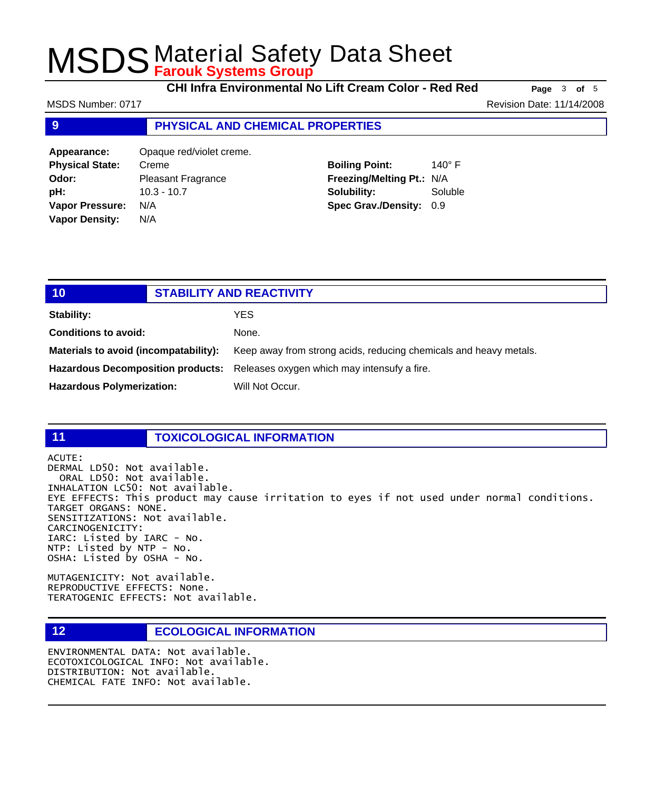**CHI Infra Environmental No Lift Cream Color - Red Red Page** <sup>3</sup> **of** <sup>5</sup>

MSDS Number: 0717 **Revision Date: 11/14/2008** 

### **9 PHYSICAL AND CHEMICAL PROPERTIES**

| Opaque red/violet creme.  |
|---------------------------|
| Creme                     |
| <b>Pleasant Fragrance</b> |
| $10.3 - 10.7$             |
| N/A                       |
| N/A                       |
|                           |

**Boiling Point:** 140° F **Freezing/Melting Pt.:** N/A **Solubility:** Soluble **Spec Grav./Density:** 0.9

| Stability:<br>YES<br><b>Conditions to avoid:</b><br>None.                                                  | 10 | <b>STABILITY AND REACTIVITY</b> |
|------------------------------------------------------------------------------------------------------------|----|---------------------------------|
|                                                                                                            |    |                                 |
|                                                                                                            |    |                                 |
| Keep away from strong acids, reducing chemicals and heavy metals.<br>Materials to avoid (incompatability): |    |                                 |
| Hazardous Decomposition products: Releases oxygen which may intensufy a fire.                              |    |                                 |
| <b>Hazardous Polymerization:</b><br>Will Not Occur.                                                        |    |                                 |

### **11 TOXICOLOGICAL INFORMATION**

ACUTE:

DERMAL LD50: Not available. ORAL LD50: Not available. INHALATION LC50: Not available. EYE EFFECTS: This product may cause irritation to eyes if not used under normal conditions. TARGET ORGANS: NONE. SENSITIZATIONS: Not available. CARCINOGENICITY: IARC: Listed by IARC - No. NTP: Listed by NTP - No. OSHA: Listed by OSHA - No.

MUTAGENICITY: Not available. REPRODUCTIVE EFFECTS: None. TERATOGENIC EFFECTS: Not available.

## **12 ECOLOGICAL INFORMATION**

ENVIRONMENTAL DATA: Not available. ECOTOXICOLOGICAL INFO: Not available. DISTRIBUTION: Not available. CHEMICAL FATE INFO: Not available.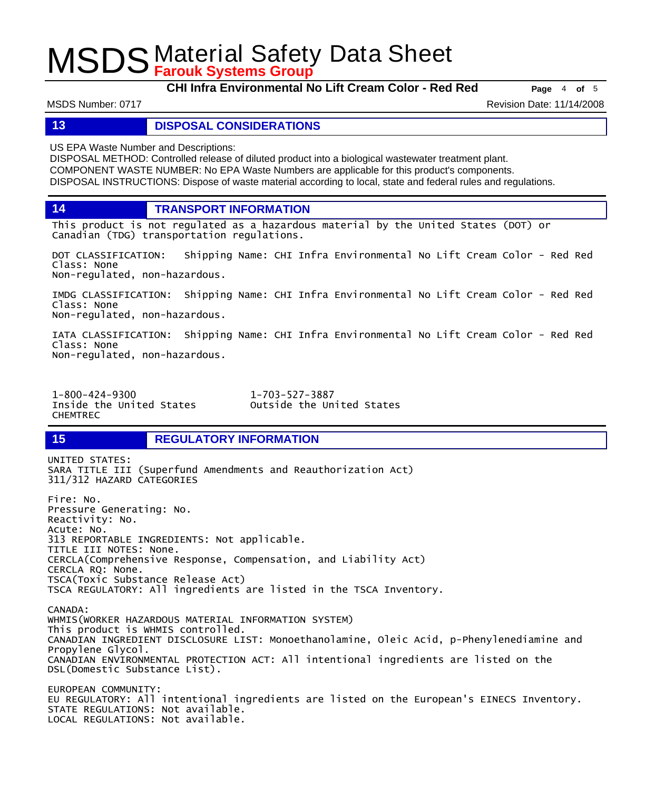**CHI Infra Environmental No Lift Cream Color - Red Red Page** <sup>4</sup> **of** <sup>5</sup>

MSDS Number: 0717 **Revision Date: 11/14/2008** 

### **13 DISPOSAL CONSIDERATIONS**

US EPA Waste Number and Descriptions:

DISPOSAL METHOD: Controlled release of diluted product into a biological wastewater treatment plant. COMPONENT WASTE NUMBER: No EPA Waste Numbers are applicable for this product's components. DISPOSAL INSTRUCTIONS: Dispose of waste material according to local, state and federal rules and regulations.

**14 TRANSPORT INFORMATION**

This product is not regulated as a hazardous material by the United States (DOT) or Canadian (TDG) transportation regulations.

DOT CLASSIFICATION: Shipping Name: CHI Infra Environmental No Lift Cream Color - Red Red Class: None Non-regulated, non-hazardous.

IMDG CLASSIFICATION: Shipping Name: CHI Infra Environmental No Lift Cream Color - Red Red Class: None Non-regulated, non-hazardous.

IATA CLASSIFICATION: Shipping Name: CHI Infra Environmental No Lift Cream Color - Red Red Class: None Non-regulated, non-hazardous.

1-800-424-9300 1-703-527-3887 **CHEMTREC** 

UNITED STATES:

Outside the United States

**15 REGULATORY INFORMATION**

SARA TITLE III (Superfund Amendments and Reauthorization Act) 311/312 HAZARD CATEGORIES Fire: No. Pressure Generating: No. Reactivity: No. Acute: No. 313 REPORTABLE INGREDIENTS: Not applicable. TITLE III NOTES: None. CERCLA(Comprehensive Response, Compensation, and Liability Act) CERCLA RQ: None. TSCA(Toxic Substance Release Act) TSCA REGULATORY: All ingredients are listed in the TSCA Inventory. CANADA: WHMIS(WORKER HAZARDOUS MATERIAL INFORMATION SYSTEM) This product is WHMIS controlled. CANADIAN INGREDIENT DISCLOSURE LIST: Monoethanolamine, Oleic Acid, p-Phenylenediamine and Propylene Glycol. CANADIAN ENVIRONMENTAL PROTECTION ACT: All intentional ingredients are listed on the DSL(Domestic Substance List). EUROPEAN COMMUNITY: EU REGULATORY: All intentional ingredients are listed on the European's EINECS Inventory. STATE REGULATIONS: Not available. LOCAL REGULATIONS: Not available.